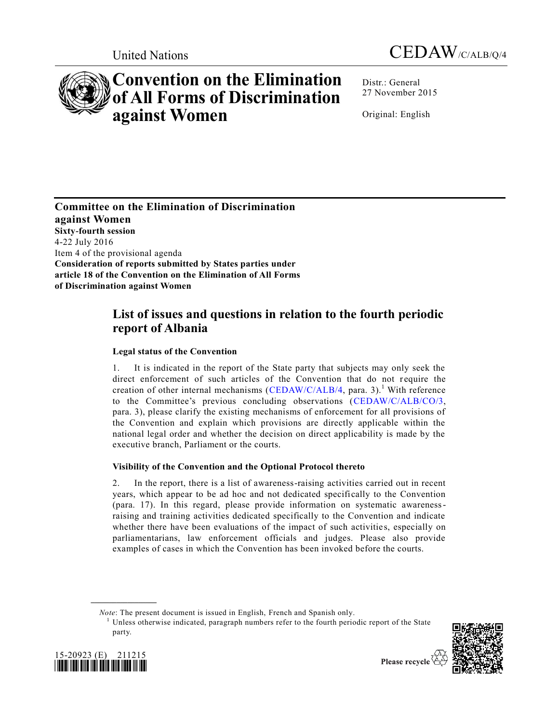



# **Convention on the Elimination of All Forms of Discrimination against Women**

Distr.: General 27 November 2015

Original: English

**Committee on the Elimination of Discrimination against Women Sixty-fourth session**  4-22 July 2016 Item 4 of the provisional agenda **Consideration of reports submitted by States parties under article 18 of the Convention on the Elimination of All Forms of Discrimination against Women**

# **List of issues and questions in relation to the fourth periodic report of Albania**

## **Legal status of the Convention**

1. It is indicated in the report of the State party that subjects may only seek the direct enforcement of such articles of the Convention that do not require the creation of other internal mechanisms [\(CEDAW/C/ALB/4,](http://undocs.org/CEDAW/C/ALB/4) para. 3).<sup>1</sup> With reference to the Committee's previous concluding observations [\(CEDAW/C/ALB/CO/3,](http://undocs.org/CEDAW/C/ALB/CO/3) para. 3), please clarify the existing mechanisms of enforcement for all provisions of the Convention and explain which provisions are directly applicable within the national legal order and whether the decision on direct applicability is made by the executive branch, Parliament or the courts.

## **Visibility of the Convention and the Optional Protocol thereto**

2. In the report, there is a list of awareness-raising activities carried out in recent years, which appear to be ad hoc and not dedicated specifically to the Convention (para. 17). In this regard, please provide information on systematic awarenessraising and training activities dedicated specifically to the Convention and indicate whether there have been evaluations of the impact of such activities, especially on parliamentarians, law enforcement officials and judges. Please also provide examples of cases in which the Convention has been invoked before the courts.

*Note*: The present document is issued in English, French and Spanish only.

 $<sup>1</sup>$  Unless otherwise indicated, paragraph numbers refer to the fourth periodic report of the State</sup> party.





**\_\_\_\_\_\_\_\_\_\_\_\_\_\_\_\_\_\_**

Please recycle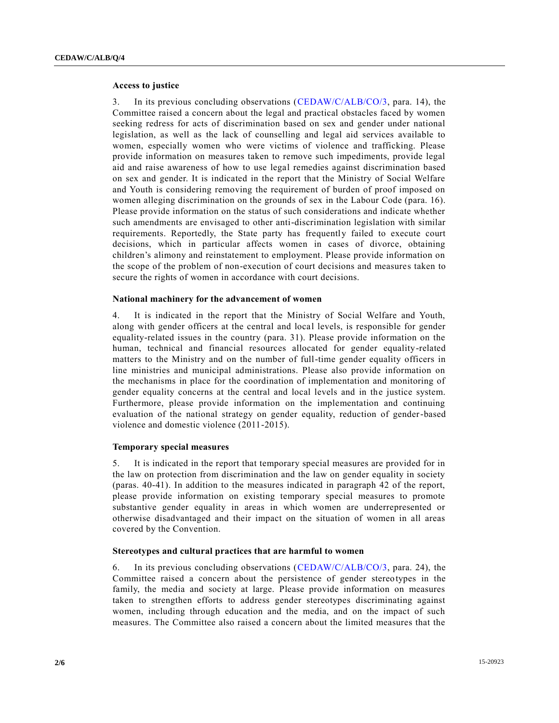#### **Access to justice**

3. In its previous concluding observations [\(CEDAW/C/ALB/CO/3,](http://undocs.org/CEDAW/C/ALB/CO/3) para. 14), the Committee raised a concern about the legal and practical obstacles faced by women seeking redress for acts of discrimination based on sex and gender under national legislation, as well as the lack of counselling and legal aid services available to women, especially women who were victims of violence and trafficking. Please provide information on measures taken to remove such impediments, provide legal aid and raise awareness of how to use legal remedies against discrimination based on sex and gender. It is indicated in the report that the Ministry of Social Welfare and Youth is considering removing the requirement of burden of proof imposed on women alleging discrimination on the grounds of sex in the Labour Code (para. 16). Please provide information on the status of such considerations and indicate whether such amendments are envisaged to other anti-discrimination legislation with similar requirements. Reportedly, the State party has frequently failed to execute court decisions, which in particular affects women in cases of divorce, obtaining children's alimony and reinstatement to employment. Please provide information on the scope of the problem of non-execution of court decisions and measures taken to secure the rights of women in accordance with court decisions.

#### **National machinery for the advancement of women**

4. It is indicated in the report that the Ministry of Social Welfare and Youth, along with gender officers at the central and local levels, is responsible for gender equality-related issues in the country (para. 31). Please provide information on the human, technical and financial resources allocated for gender equality-related matters to the Ministry and on the number of full-time gender equality officers in line ministries and municipal administrations. Please also provide information on the mechanisms in place for the coordination of implementation and monitoring of gender equality concerns at the central and local levels and in the justice system. Furthermore, please provide information on the implementation and continuing evaluation of the national strategy on gender equality, reduction of gender-based violence and domestic violence (2011-2015).

#### **Temporary special measures**

5. It is indicated in the report that temporary special measures are provided for in the law on protection from discrimination and the law on gender equality in society (paras. 40-41). In addition to the measures indicated in paragraph 42 of the report, please provide information on existing temporary special measures to promote substantive gender equality in areas in which women are underrepresented or otherwise disadvantaged and their impact on the situation of women in all areas covered by the Convention.

#### **Stereotypes and cultural practices that are harmful to women**

6. In its previous concluding observations [\(CEDAW/C/ALB/CO/3,](http://undocs.org/CEDAW/C/ALB/CO/3) para. 24), the Committee raised a concern about the persistence of gender stereotypes in the family, the media and society at large. Please provide information on measures taken to strengthen efforts to address gender stereotypes discriminating against women, including through education and the media, and on the impact of such measures. The Committee also raised a concern about the limited measures that the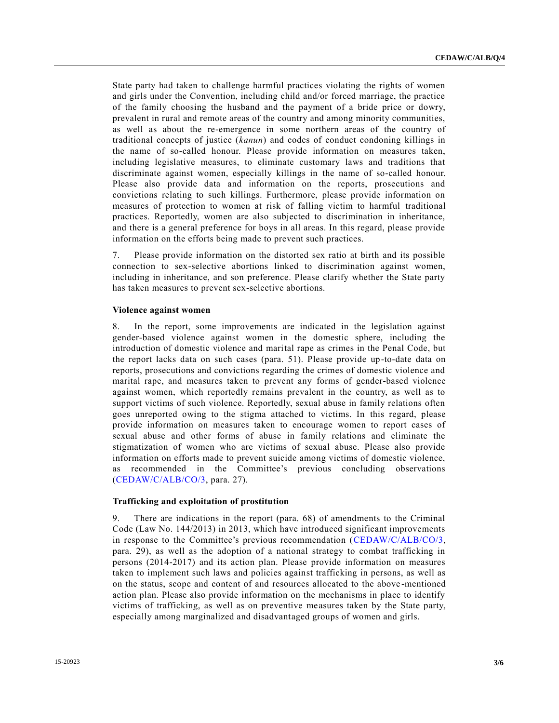State party had taken to challenge harmful practices violating the rights of women and girls under the Convention, including child and/or forced marriage, the practice of the family choosing the husband and the payment of a bride price or dowry, prevalent in rural and remote areas of the country and among minority communities, as well as about the re-emergence in some northern areas of the country of traditional concepts of justice (*kanun*) and codes of conduct condoning killings in the name of so-called honour. Please provide information on measures taken, including legislative measures, to eliminate customary laws and traditions that discriminate against women, especially killings in the name of so-called honour. Please also provide data and information on the reports, prosecutions and convictions relating to such killings. Furthermore, please provide information on measures of protection to women at risk of falling victim to harmful traditional practices. Reportedly, women are also subjected to discrimination in inheritance, and there is a general preference for boys in all areas. In this regard, please provide information on the efforts being made to prevent such practices.

7. Please provide information on the distorted sex ratio at birth and its possible connection to sex-selective abortions linked to discrimination against women, including in inheritance, and son preference. Please clarify whether the State party has taken measures to prevent sex-selective abortions.

#### **Violence against women**

8. In the report, some improvements are indicated in the legislation against gender-based violence against women in the domestic sphere, including the introduction of domestic violence and marital rape as crimes in the Penal Code, but the report lacks data on such cases (para. 51). Please provide up-to-date data on reports, prosecutions and convictions regarding the crimes of domestic violence and marital rape, and measures taken to prevent any forms of gender-based violence against women, which reportedly remains prevalent in the country, as well as to support victims of such violence. Reportedly, sexual abuse in family relations often goes unreported owing to the stigma attached to victims. In this regard, please provide information on measures taken to encourage women to report cases of sexual abuse and other forms of abuse in family relations and eliminate the stigmatization of women who are victims of sexual abuse. Please also provide information on efforts made to prevent suicide among victims of domestic violence, as recommended in the Committee's previous concluding observations [\(CEDAW/C/ALB/CO/3,](http://undocs.org/CEDAW/C/ALB/CO/3) para. 27).

#### **Trafficking and exploitation of prostitution**

9. There are indications in the report (para. 68) of amendments to the Criminal Code (Law No. 144/2013) in 2013, which have introduced significant improvements in response to the Committee's previous recommendation [\(CEDAW/C/ALB/CO/3,](http://undocs.org/CEDAW/C/ALB/CO/3) para. 29), as well as the adoption of a national strategy to combat trafficking in persons (2014-2017) and its action plan. Please provide information on measures taken to implement such laws and policies against trafficking in persons, as well as on the status, scope and content of and resources allocated to the above -mentioned action plan. Please also provide information on the mechanisms in place to identify victims of trafficking, as well as on preventive measures taken by the State party, especially among marginalized and disadvantaged groups of women and girls.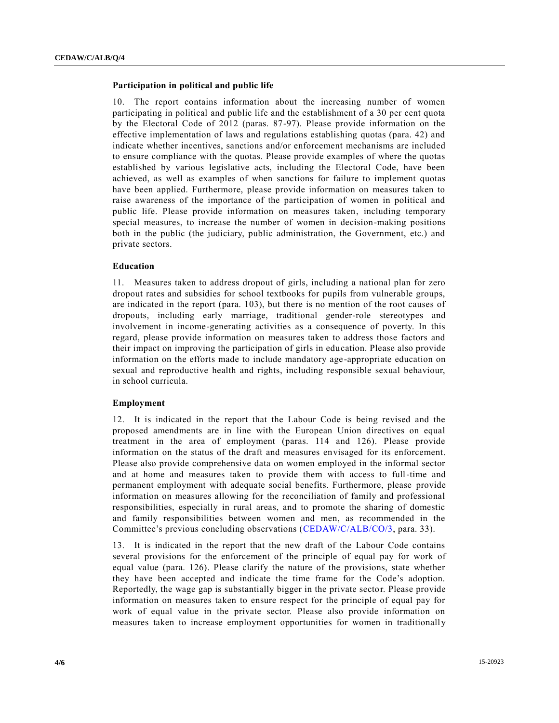#### **Participation in political and public life**

10. The report contains information about the increasing number of women participating in political and public life and the establishment of a 30 per cent quota by the Electoral Code of 2012 (paras. 87-97). Please provide information on the effective implementation of laws and regulations establishing quotas (para. 42) and indicate whether incentives, sanctions and/or enforcement mechanisms are included to ensure compliance with the quotas. Please provide examples of where the quotas established by various legislative acts, including the Electoral Code, have been achieved, as well as examples of when sanctions for failure to implement quotas have been applied. Furthermore, please provide information on measures taken to raise awareness of the importance of the participation of women in political and public life. Please provide information on measures taken, including temporary special measures, to increase the number of women in decision-making positions both in the public (the judiciary, public administration, the Government, etc.) and private sectors.

#### **Education**

11. Measures taken to address dropout of girls, including a national plan for zero dropout rates and subsidies for school textbooks for pupils from vulnerable groups, are indicated in the report (para. 103), but there is no mention of the root causes of dropouts, including early marriage, traditional gender-role stereotypes and involvement in income-generating activities as a consequence of poverty. In this regard, please provide information on measures taken to address those factors and their impact on improving the participation of girls in education. Please also provide information on the efforts made to include mandatory age-appropriate education on sexual and reproductive health and rights, including responsible sexual behaviour, in school curricula.

#### **Employment**

12. It is indicated in the report that the Labour Code is being revised and the proposed amendments are in line with the European Union directives on equal treatment in the area of employment (paras. 114 and 126). Please provide information on the status of the draft and measures envisaged for its enforcement. Please also provide comprehensive data on women employed in the informal sector and at home and measures taken to provide them with access to full-time and permanent employment with adequate social benefits. Furthermore, please provide information on measures allowing for the reconciliation of family and professional responsibilities, especially in rural areas, and to promote the sharing of domestic and family responsibilities between women and men, as recommended in the Committee's previous concluding observations [\(CEDAW/C/ALB/CO/3,](http://undocs.org/CEDAW/C/ALB/CO/3) para. 33).

13. It is indicated in the report that the new draft of the Labour Code contains several provisions for the enforcement of the principle of equal pay for work of equal value (para. 126). Please clarify the nature of the provisions, state whether they have been accepted and indicate the time frame for the Code's adoption. Reportedly, the wage gap is substantially bigger in the private sector. Please provide information on measures taken to ensure respect for the principle of equal pay for work of equal value in the private sector. Please also provide information on measures taken to increase employment opportunities for women in traditionally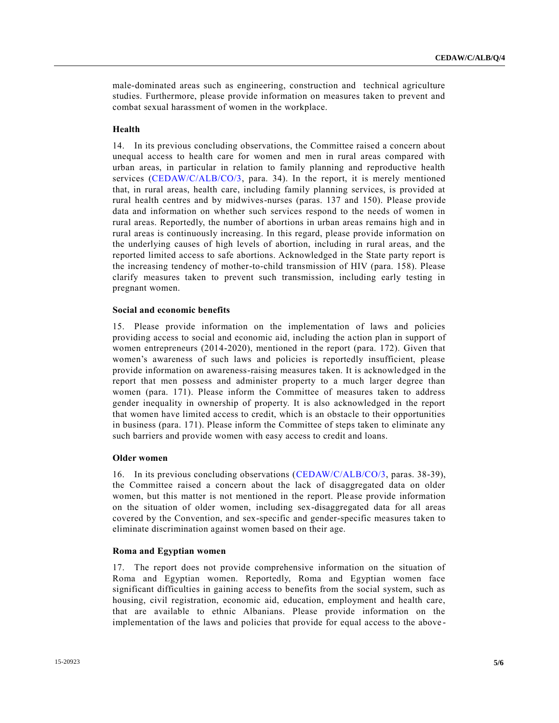male-dominated areas such as engineering, construction and technical agriculture studies. Furthermore, please provide information on measures taken to prevent and combat sexual harassment of women in the workplace.

#### **Health**

14. In its previous concluding observations, the Committee raised a concern about unequal access to health care for women and men in rural areas compared with urban areas, in particular in relation to family planning and reproductive health services [\(CEDAW/C/ALB/CO/3,](http://undocs.org/CEDAW/C/ALB/CO/3) para. 34). In the report, it is merely mentioned that, in rural areas, health care, including family planning services, is provided at rural health centres and by midwives-nurses (paras. 137 and 150). Please provide data and information on whether such services respond to the needs of women in rural areas. Reportedly, the number of abortions in urban areas remains high and in rural areas is continuously increasing. In this regard, please provide information on the underlying causes of high levels of abortion, including in rural areas, and the reported limited access to safe abortions. Acknowledged in the State party report is the increasing tendency of mother-to-child transmission of HIV (para. 158). Please clarify measures taken to prevent such transmission, including early testing in pregnant women.

#### **Social and economic benefits**

15. Please provide information on the implementation of laws and policies providing access to social and economic aid, including the action plan in support of women entrepreneurs (2014-2020), mentioned in the report (para. 172). Given that women's awareness of such laws and policies is reportedly insufficient, please provide information on awareness-raising measures taken. It is acknowledged in the report that men possess and administer property to a much larger degree than women (para. 171). Please inform the Committee of measures taken to address gender inequality in ownership of property. It is also acknowledged in the report that women have limited access to credit, which is an obstacle to their opportunities in business (para. 171). Please inform the Committee of steps taken to eliminate any such barriers and provide women with easy access to credit and loans.

#### **Older women**

16. In its previous concluding observations [\(CEDAW/C/ALB/CO/3,](http://undocs.org/CEDAW/C/ALB/CO/3) paras. 38-39), the Committee raised a concern about the lack of disaggregated data on older women, but this matter is not mentioned in the report. Please provide information on the situation of older women, including sex-disaggregated data for all areas covered by the Convention, and sex-specific and gender-specific measures taken to eliminate discrimination against women based on their age.

#### **Roma and Egyptian women**

17. The report does not provide comprehensive information on the situation of Roma and Egyptian women. Reportedly, Roma and Egyptian women face significant difficulties in gaining access to benefits from the social system, such as housing, civil registration, economic aid, education, employment and health care, that are available to ethnic Albanians. Please provide information on the implementation of the laws and policies that provide for equal access to the above -